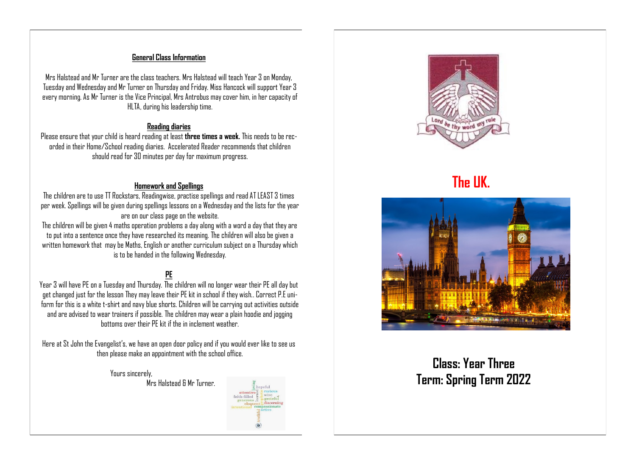#### **General Class Information**

Mrs Halstead and Mr Turner are the class teachers. Mrs Halstead will teach Year 3 on Monday, Tuesday and Wednesday and Mr Turner on Thursday and Friday. Miss Hancock will support Year 3 every morning. As Mr Turner is the Vice Principal, Mrs Antrobus may cover him, in her capacity of HLTA, during his leadership time.

#### **Reading diaries**

Please ensure that your child is heard reading at least **three times a week.** This needs to be recorded in their Home/School reading diaries. Accelerated Reader recommends that children should read for 30 minutes per day for maximum progress.

#### **Homework and Spellings**

The children are to use TT Rockstars, Readingwise, practise spellings and read AT LEAST 3 times per week. Spellings will be given during spellings lessons on a Wednesday and the lists for the year are on our class page on the website.

The children will be given 4 maths operation problems a day along with a word a day that they are to put into a sentence once they have researched its meaning. The children will also be given a written homework that may be Maths, English or another curriculum subject on a Thursday which is to be handed in the following Wednesday.

# **PE**

Year 3 will have PE on a Tuesday and Thursday. The children will no longer wear their PE all day but get changed just for the lesson They may leave their PE kit in school if they wish.. Correct P.E uniform for this is a white t-shirt and navy blue shorts. Children will be carrying out activities outside and are advised to wear trainers if possible. The children may wear a plain hoodie and jogging bottoms over their PE kit if the in inclement weather.

Here at St John the Evangelist's, we have an open door policy and if you would ever like to see us then please make an appointment with the school office.

> Yours sincerely, Mrs Halstead & Mr Turner.



**The UK.**



**Class: Year Three Term: Spring Term 2022**